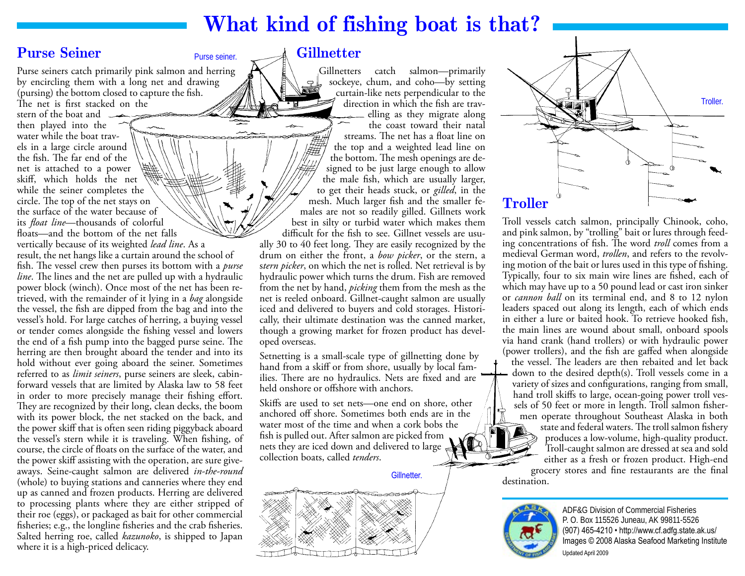# **What kind of fishing boat is that?**

### **Purse Seiner** Purse seiner.

Purse seiners catch primarily pink salmon and herring by encircling them with a long net and drawing (pursing) the bottom closed to capture the fish.

The net is first stacked on the stern of the boat and  $\rightarrow$ then played into the water while the boat travels in a large circle around the fish. The far end of the net is attached to a power skiff, which holds the net while the seiner completes the circle. The top of the net stays on the surface of the water because of its *float line*—thousands of colorful floats—and the bottom of the net falls

vertically because of its weighted *lead line*. As a result, the net hangs like a curtain around the school of fish. The vessel crew then purses its bottom with a *purse line*. The lines and the net are pulled up with a hydraulic power block (winch). Once most of the net has been retrieved, with the remainder of it lying in a *bag* alongside the vessel, the fish are dipped from the bag and into the vessel's hold. For large catches of herring, a buying vessel or tender comes alongside the fishing vessel and lowers the end of a fish pump into the bagged purse seine. The herring are then brought aboard the tender and into its hold without ever going aboard the seiner. Sometimes referred to as *limit seiners*, purse seiners are sleek, cabinforward vessels that are limited by Alaska law to 58 feet in order to more precisely manage their fishing effort. They are recognized by their long, clean decks, the boom with its power block, the net stacked on the back, and the power skiff that is often seen riding piggyback aboard the vessel's stern while it is traveling. When fishing, of course, the circle of floats on the surface of the water, and the power skiff assisting with the operation, are sure giveaways. Seine-caught salmon are delivered *in-the-round*  (whole) to buying stations and canneries where they end up as canned and frozen products. Herring are delivered to processing plants where they are either stripped of their roe (eggs), or packaged as bait for other commercial fisheries; e.g., the longline fisheries and the crab fisheries. Salted herring roe, called *kazunoko*, is shipped to Japan where it is a high-priced delicacy.

### **Gillnetter**

Gillnetters catch salmon—primarily sockeye, chum, and coho—by setting curtain-like nets perpendicular to the direction in which the fish are travelling as they migrate along the coast toward their natal streams. The net has a float line on the top and a weighted lead line on the bottom. The mesh openings are designed to be just large enough to allow the male fish, which are usually larger, to get their heads stuck, or *gilled*, in the mesh. Much larger fish and the smaller females are not so readily gilled. Gillnets work best in silty or turbid water which makes them difficult for the fish to see. Gillnet vessels are usually 30 to 40 feet long. They are easily recognized by the drum on either the front, a *bow picker*, or the stern, a s*tern picker*, on which the net is rolled. Net retrieval is by hydraulic power which turns the drum. Fish are removed from the net by hand, *picking* them from the mesh as the net is reeled onboard. Gillnet-caught salmon are usually iced and delivered to buyers and cold storages. Historically, their ultimate destination was the canned market, though a growing market for frozen product has developed overseas.

Setnetting is a small-scale type of gillnetting done by hand from a skiff or from shore, usually by local families. There are no hydraulics. Nets are fixed and are held onshore or offshore with anchors.

Skiffs are used to set nets—one end on shore, other anchored off shore. Sometimes both ends are in the water most of the time and when a cork bobs the fish is pulled out. After salmon are picked from nets they are iced down and delivered to large collection boats, called *tenders*.

Gillnetter.





**Troller** 

Troll vessels catch salmon, principally Chinook, coho, and pink salmon, by "trolling" bait or lures through feeding concentrations of fish. The word *troll* comes from a medieval German word, *trollen*, and refers to the revolving motion of the bait or lures used in this type of fishing. Typically, four to six main wire lines are fished, each of which may have up to a 50 pound lead or cast iron sinker or *cannon ball* on its terminal end, and 8 to 12 nylon leaders spaced out along its length, each of which ends in either a lure or baited hook. To retrieve hooked fish, the main lines are wound about small, onboard spools via hand crank (hand trollers) or with hydraulic power (power trollers), and the fish are gaffed when alongside the vessel. The leaders are then rebaited and let back down to the desired depth(s). Troll vessels come in a variety of sizes and configurations, ranging from small, hand troll skiffs to large, ocean-going power troll vessels of 50 feet or more in length. Troll salmon fishermen operate throughout Southeast Alaska in both state and federal waters. The troll salmon fishery produces a low-volume, high-quality product. Troll-caught salmon are dressed at sea and sold either as a fresh or frozen product. High-end grocery stores and fine restaurants are the final destination.



ADF&G Division of Commercial Fisheries P. O. Box 115526 Juneau, AK 99811-5526 (907) 465-4210 • http://www.cf.adfg.state.ak.us/ Images © 2008 Alaska Seafood Marketing Institute Updated April 2009